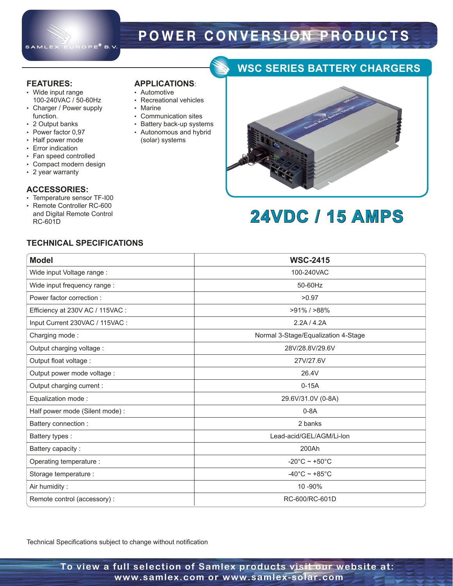

**APPLICATIONS**: • Automotive

• Marine

• Recreational vehicles

• Communication sites • Battery back-up systems • Autonomous and hybrid (solar) systems

# **P O W E R C O N VER S I O N P R O D U C T S**

#### **FEATURES:**

- Wide input range 100-240VAC / 50-60Hz
- Charger / Power supply function.
- 2 Output banks
- Power factor 0,97
- Half power mode
- Error indication
- Fan speed controlled
- Compact modern design
- 2 year warranty

#### **ACCESSORIES:**

- Temperature sensor TF-I00 • Remote Controller RC-600
- and Digital Remote Control RC-601D

### **TECHNICAL SPECIFICATIONS**

| <b>Model</b>                     | <b>WSC-2415</b>                     |
|----------------------------------|-------------------------------------|
| Wide input Voltage range :       | 100-240VAC                          |
| Wide input frequency range :     | 50-60Hz                             |
| Power factor correction:         | >0.97                               |
| Efficiency at 230V AC / 115VAC : | $>91\%$ / $>88\%$                   |
| Input Current 230VAC / 115VAC :  | 2.2A/4.2A                           |
| Charging mode:                   | Normal 3-Stage/Equalization 4-Stage |
| Output charging voltage :        | 28V/28.8V/29.6V                     |
| Output float voltage :           | 27V/27.6V                           |
| Output power mode voltage :      | 26.4V                               |
| Output charging current :        | $0-15A$                             |
| Equalization mode:               | 29.6V/31.0V (0-8A)                  |
| Half power mode (Silent mode):   | $0-8A$                              |
| Battery connection :             | 2 banks                             |
| Battery types :                  | Lead-acid/GEL/AGM/Li-lon            |
| Battery capacity:                | 200Ah                               |
| Operating temperature :          | -20 $^{\circ}$ C ~ +50 $^{\circ}$ C |
| Storage temperature :            | -40 $^{\circ}$ C ~ +85 $^{\circ}$ C |
| Air humidity:                    | 10 - 90%                            |
| Remote control (accessory):      | RC-600/RC-601D                      |

Technical Specifications subject to change without notification

**WSC SERIES BATTERY CHARGERS**

# **24VDC / 15 AMPS**